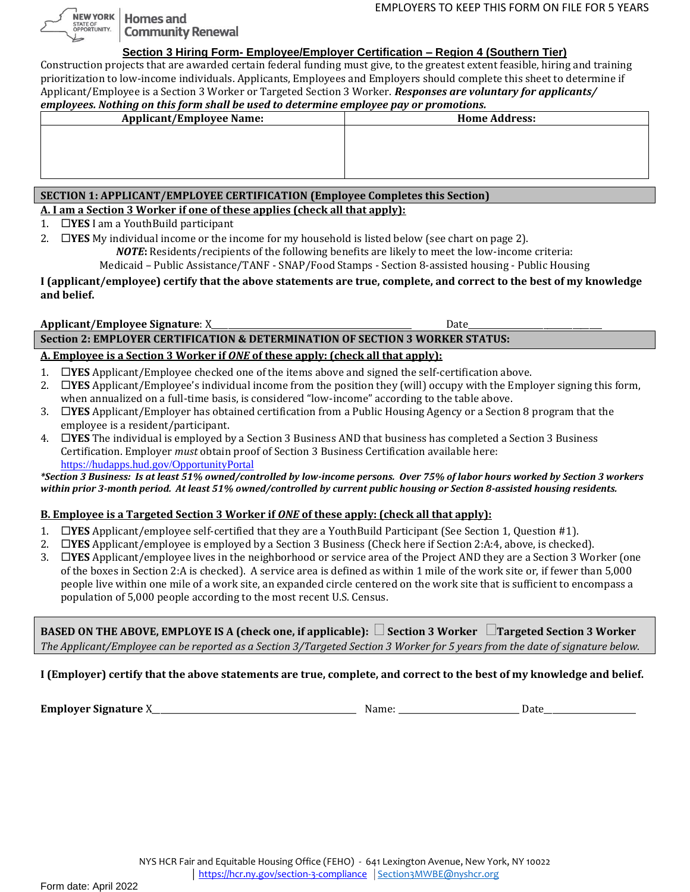**NEW YORK Homes and Community Renewal** 

#### **Section 3 Hiring Form- Employee/Employer Certification – Region 4 (Southern Tier)**

Construction projects that are awarded certain federal funding must give, to the greatest extent feasible, hiring and training prioritization to low-income individuals. Applicants, Employees and Employers should complete this sheet to determine if Applicant/Employee is a Section 3 Worker or Targeted Section 3 Worker. *Responses are voluntary for applicants/ employees. Nothing on this form shall be used to determine employee pay or promotions.*

| employees. Nothing on this form shah be used to determine employee pay or promotions. |                      |  |  |  |
|---------------------------------------------------------------------------------------|----------------------|--|--|--|
| <b>Applicant/Employee Name:</b>                                                       | <b>Home Address:</b> |  |  |  |
|                                                                                       |                      |  |  |  |
|                                                                                       |                      |  |  |  |
|                                                                                       |                      |  |  |  |
|                                                                                       |                      |  |  |  |
|                                                                                       |                      |  |  |  |
|                                                                                       |                      |  |  |  |

#### **SECTION 1: APPLICANT/EMPLOYEE CERTIFICATION (Employee Completes this Section)**

**A. I am a Section 3 Worker if one of these applies (check all that apply):**

1. **YES** I am a YouthBuild participant

STATE OF<br>OPPORTUNITY.

2.  $\Box$ **YES** My individual income or the income for my household is listed below (see chart on page 2).

*NOTE***:** Residents/recipients of the following benefits are likely to meet the low-income criteria:

Medicaid – Public Assistance/TANF - SNAP/Food Stamps - Section 8-assisted housing - Public Housing

#### **I (applicant/employee) certify that the above statements are true, complete, and correct to the best of my knowledge and belief.**

### **Applicant/Employee Signature**: X\_\_\_\_\_\_\_\_\_\_\_\_\_\_\_\_\_\_\_\_\_\_\_\_\_\_\_\_\_\_\_\_\_\_\_\_\_\_\_\_\_\_\_\_\_\_\_\_ Date\_\_\_\_\_\_\_\_\_\_\_\_\_\_\_\_\_\_\_\_\_\_\_\_\_\_\_\_\_\_\_\_

### **Section 2: EMPLOYER CERTIFICATION & DETERMINATION OF SECTION 3 WORKER STATUS:**

# **A. Employee is a Section 3 Worker if** *ONE* **of these apply: (check all that apply):**

- 1. **YES** Applicant/Employee checked one of the items above and signed the self-certification above.
- 2. **YES** Applicant/Employee's individual income from the position they (will) occupy with the Employer signing this form, when annualized on a full-time basis, is considered "low-income" according to the table above.
- 3. **YES** Applicant/Employer has obtained certification from a Public Housing Agency or a Section 8 program that the employee is a resident/participant.
- 4. **YES** The individual is employed by a Section 3 Business AND that business has completed a Section 3 Business Certification. Employer *must* obtain proof of Section 3 Business Certification available here: [https://hudapps.hud.gov/OpportunityPortal](https://hudapps.hud.gov/OpportunityPortal/)

*\*Section 3 Business: Is at least 51% owned/controlled by low-income persons. Over 75% of labor hours worked by Section 3 workers within prior 3-month period. At least 51% owned/controlled by current public housing or Section 8-assisted housing residents.*

# **B. Employee is a Targeted Section 3 Worker if** *ONE* **of these apply: (check all that apply):**

- 1. **YES** Applicant/employee self-certified that they are a YouthBuild Participant (See Section 1, Question #1).
- 2. **YES** Applicant/employee is employed by a Section 3 Business (Check here if Section 2:A:4, above, is checked).
- 3. **YES** Applicant/employee lives in the neighborhood or service area of the Project AND they are a Section 3 Worker (one of the boxes in Section 2:A is checked). A service area is defined as within 1 mile of the work site or, if fewer than 5,000 people live within one mile of a work site, an expanded circle centered on the work site that is sufficient to encompass a population of 5,000 people according to the most recent U.S. Census.

**BASED ON THE ABOVE, EMPLOYE IS A (check one, if applicable): Section 3 Worker Targeted Section 3 Worker**  *The Applicant/Employee can be reported as a Section 3/Targeted Section 3 Worker for 5 years from the date of signature below.*

# **I (Employer) certify that the above statements are true, complete, and correct to the best of my knowledge and belief.**

**Employer Signature** X **Employer Signature** X **Contract Algebra 2** (Name:  $\blacksquare$